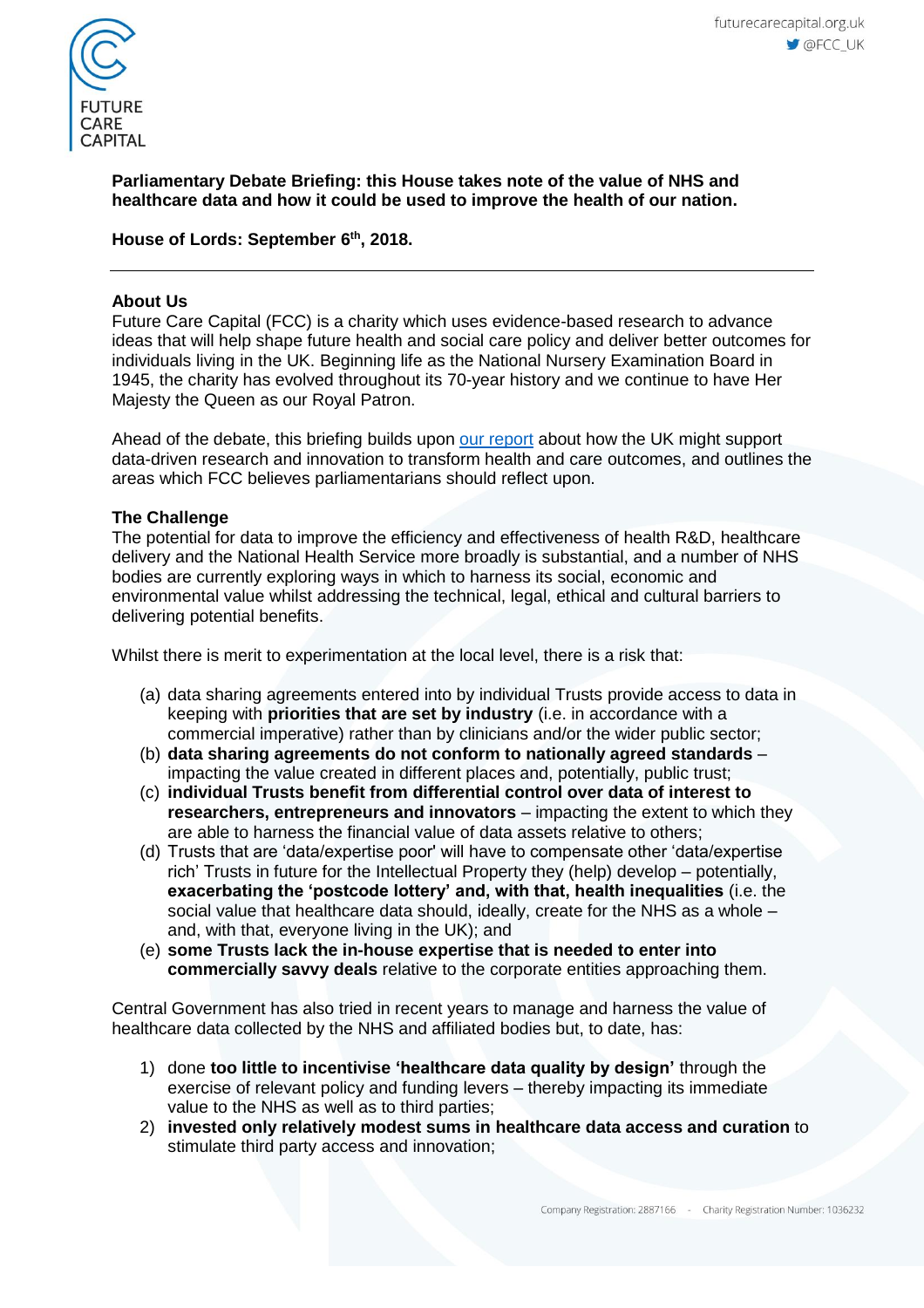

## **Parliamentary Debate Briefing: this House takes note of the value of NHS and healthcare data and how it could be used to improve the health of our nation.**

# **House of Lords: September 6 th , 2018.**

### **About Us**

Future Care Capital (FCC) is a charity which uses evidence-based research to advance ideas that will help shape future health and social care policy and deliver better outcomes for individuals living in the UK. Beginning life as the National Nursery Examination Board in 1945, the charity has evolved throughout its 70-year history and we continue to have Her Majesty the Queen as our Royal Patron.

Ahead of the debate, this briefing builds upon [our report](https://futurecarecapital.org.uk/policy/healthcare-data/) about how the UK might support data-driven research and innovation to transform health and care outcomes, and outlines the areas which FCC believes parliamentarians should reflect upon.

### **The Challenge**

The potential for data to improve the efficiency and effectiveness of health R&D, healthcare delivery and the National Health Service more broadly is substantial, and a number of NHS bodies are currently exploring ways in which to harness its social, economic and environmental value whilst addressing the technical, legal, ethical and cultural barriers to delivering potential benefits.

Whilst there is merit to experimentation at the local level, there is a risk that:

- (a) data sharing agreements entered into by individual Trusts provide access to data in keeping with **priorities that are set by industry** (i.e. in accordance with a commercial imperative) rather than by clinicians and/or the wider public sector;
- (b) **data sharing agreements do not conform to nationally agreed standards** impacting the value created in different places and, potentially, public trust;
- (c) **individual Trusts benefit from differential control over data of interest to researchers, entrepreneurs and innovators** – impacting the extent to which they are able to harness the financial value of data assets relative to others;
- (d) Trusts that are 'data/expertise poor' will have to compensate other 'data/expertise rich' Trusts in future for the Intellectual Property they (help) develop – potentially, **exacerbating the 'postcode lottery' and, with that, health inequalities** (i.e. the social value that healthcare data should, ideally, create for the NHS as a whole  $$ and, with that, everyone living in the UK); and
- (e) **some Trusts lack the in-house expertise that is needed to enter into commercially savvy deals** relative to the corporate entities approaching them.

Central Government has also tried in recent years to manage and harness the value of healthcare data collected by the NHS and affiliated bodies but, to date, has:

- 1) done **too little to incentivise 'healthcare data quality by design'** through the exercise of relevant policy and funding levers – thereby impacting its immediate value to the NHS as well as to third parties;
- 2) **invested only relatively modest sums in healthcare data access and curation** to stimulate third party access and innovation;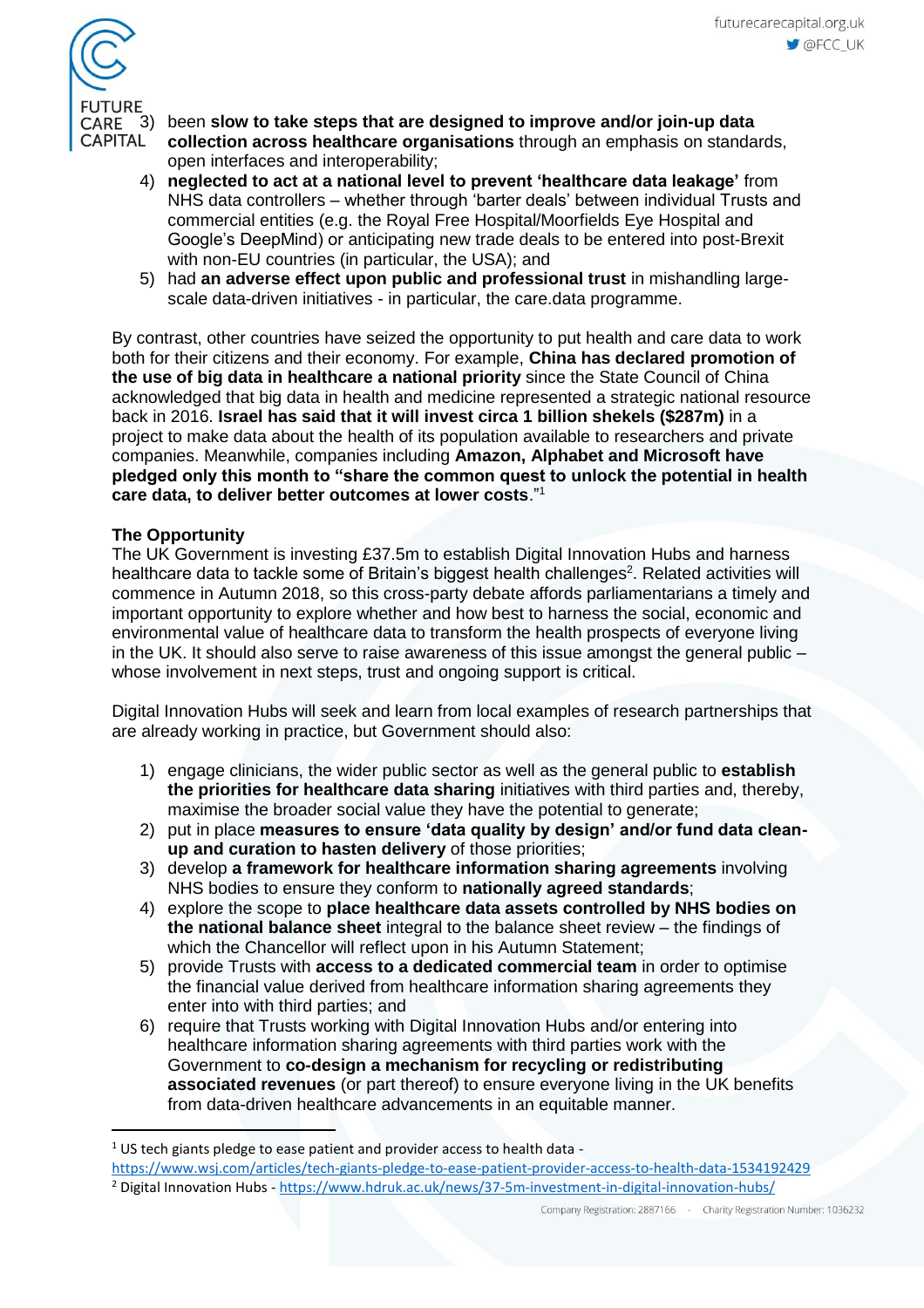

3) been **slow to take steps that are designed to improve and/or join-up data** 

- **collection across healthcare organisations** through an emphasis on standards, open interfaces and interoperability;
- 4) **neglected to act at a national level to prevent 'healthcare data leakage'** from NHS data controllers – whether through 'barter deals' between individual Trusts and commercial entities (e.g. the Royal Free Hospital/Moorfields Eye Hospital and Google's DeepMind) or anticipating new trade deals to be entered into post-Brexit with non-EU countries (in particular, the USA); and
- 5) had **an adverse effect upon public and professional trust** in mishandling largescale data-driven initiatives - in particular, the care.data programme.

By contrast, other countries have seized the opportunity to put health and care data to work both for their citizens and their economy. For example, **China has declared promotion of the use of big data in healthcare a national priority** since the State Council of China acknowledged that big data in health and medicine represented a strategic national resource back in 2016. **Israel has said that it will invest circa 1 billion shekels (\$287m)** in a project to make data about the health of its population available to researchers and private companies. Meanwhile, companies including **Amazon, Alphabet and Microsoft have pledged only this month to "share the common quest to unlock the potential in health care data, to deliver better outcomes at lower costs**."<sup>1</sup>

# **The Opportunity**

 $\overline{a}$ 

The UK Government is investing £37.5m to establish Digital Innovation Hubs and harness healthcare data to tackle some of Britain's biggest health challenges $^{\text{2}}$ . Related activities will commence in Autumn 2018, so this cross-party debate affords parliamentarians a timely and important opportunity to explore whether and how best to harness the social, economic and environmental value of healthcare data to transform the health prospects of everyone living in the UK. It should also serve to raise awareness of this issue amongst the general public – whose involvement in next steps, trust and ongoing support is critical.

Digital Innovation Hubs will seek and learn from local examples of research partnerships that are already working in practice, but Government should also:

- 1) engage clinicians, the wider public sector as well as the general public to **establish the priorities for healthcare data sharing** initiatives with third parties and, thereby, maximise the broader social value they have the potential to generate;
- 2) put in place **measures to ensure 'data quality by design' and/or fund data cleanup and curation to hasten delivery** of those priorities;
- 3) develop **a framework for healthcare information sharing agreements** involving NHS bodies to ensure they conform to **nationally agreed standards**;
- 4) explore the scope to **place healthcare data assets controlled by NHS bodies on the national balance sheet** integral to the balance sheet review – the findings of which the Chancellor will reflect upon in his Autumn Statement;
- 5) provide Trusts with **access to a dedicated commercial team** in order to optimise the financial value derived from healthcare information sharing agreements they enter into with third parties; and
- 6) require that Trusts working with Digital Innovation Hubs and/or entering into healthcare information sharing agreements with third parties work with the Government to **co-design a mechanism for recycling or redistributing associated revenues** (or part thereof) to ensure everyone living in the UK benefits from data-driven healthcare advancements in an equitable manner.

<https://www.wsj.com/articles/tech-giants-pledge-to-ease-patient-provider-access-to-health-data-1534192429>

<sup>&</sup>lt;sup>1</sup> US tech giants pledge to ease patient and provider access to health data -

<sup>&</sup>lt;sup>2</sup> Digital Innovation Hubs - <https://www.hdruk.ac.uk/news/37-5m-investment-in-digital-innovation-hubs/>